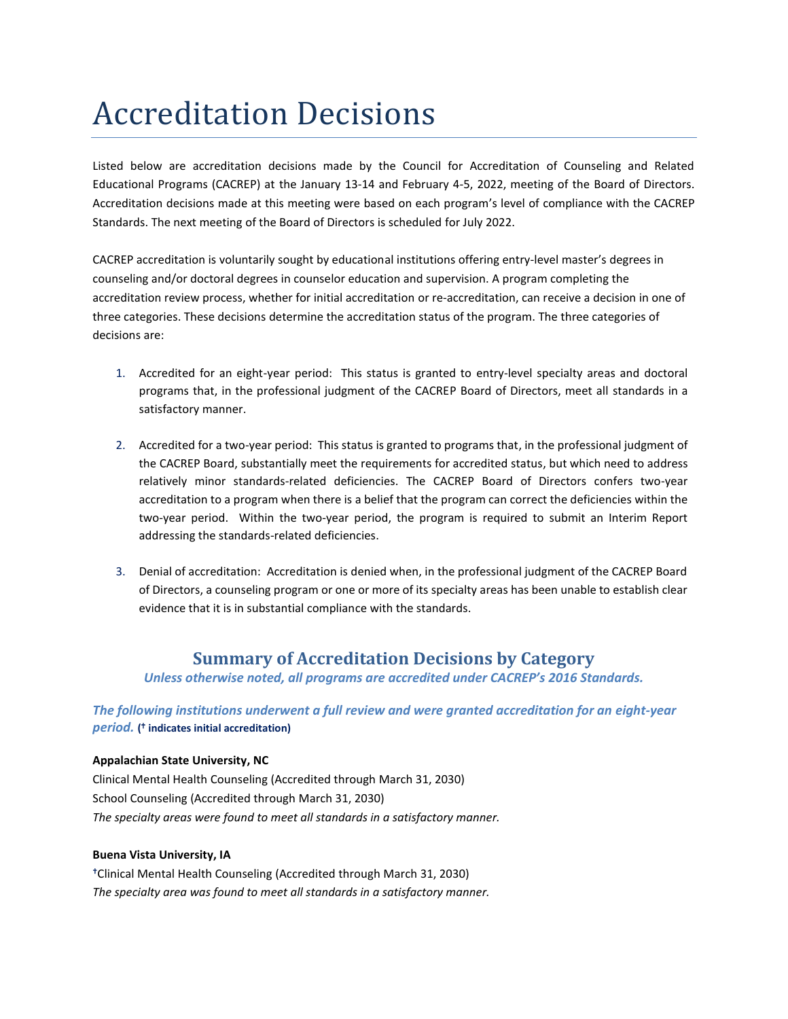# Accreditation Decisions

Listed below are accreditation decisions made by the Council for Accreditation of Counseling and Related Educational Programs (CACREP) at the January 13-14 and February 4-5, 2022, meeting of the Board of Directors. Accreditation decisions made at this meeting were based on each program's level of compliance with the CACREP Standards. The next meeting of the Board of Directors is scheduled for July 2022.

CACREP accreditation is voluntarily sought by educational institutions offering entry-level master's degrees in counseling and/or doctoral degrees in counselor education and supervision. A program completing the accreditation review process, whether for initial accreditation or re-accreditation, can receive a decision in one of three categories. These decisions determine the accreditation status of the program. The three categories of decisions are:

- 1. Accredited for an eight-year period: This status is granted to entry-level specialty areas and doctoral programs that, in the professional judgment of the CACREP Board of Directors, meet all standards in a satisfactory manner.
- 2. Accredited for a two-year period: This status is granted to programs that, in the professional judgment of the CACREP Board, substantially meet the requirements for accredited status, but which need to address relatively minor standards-related deficiencies. The CACREP Board of Directors confers two-year accreditation to a program when there is a belief that the program can correct the deficiencies within the two-year period. Within the two-year period, the program is required to submit an Interim Report addressing the standards-related deficiencies.
- 3. Denial of accreditation: Accreditation is denied when, in the professional judgment of the CACREP Board of Directors, a counseling program or one or more of its specialty areas has been unable to establish clear evidence that it is in substantial compliance with the standards.

# **Summary of Accreditation Decisions by Category**

*Unless otherwise noted, all programs are accredited under CACREP's 2016 Standards.*

*The following institutions underwent a full review and were granted accreditation for an eight-year period.* **( indicates initial accreditation)**

## **Appalachian State University, NC**

Clinical Mental Health Counseling (Accredited through March 31, 2030) School Counseling (Accredited through March 31, 2030) *The specialty areas were found to meet all standards in a satisfactory manner.*

## **Buena Vista University, IA**

Clinical Mental Health Counseling (Accredited through March 31, 2030) *The specialty area was found to meet all standards in a satisfactory manner.*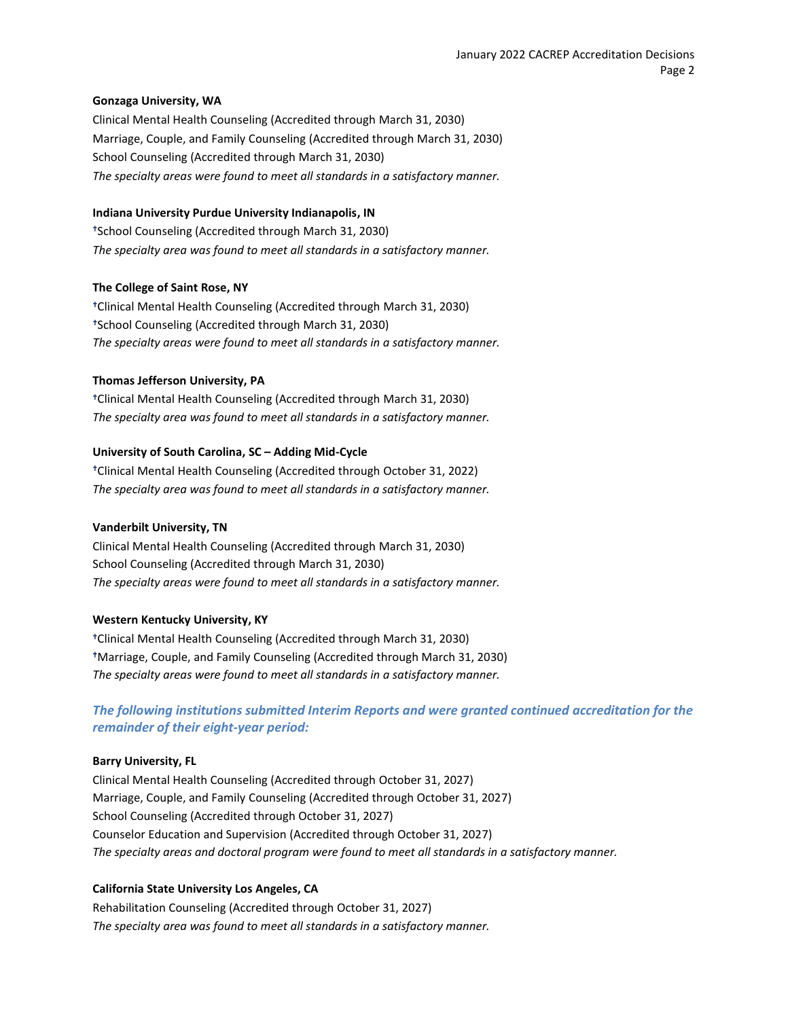#### **Gonzaga University, WA**

Clinical Mental Health Counseling (Accredited through March 31, 2030) Marriage, Couple, and Family Counseling (Accredited through March 31, 2030) School Counseling (Accredited through March 31, 2030) *The specialty areas were found to meet all standards in a satisfactory manner.*

#### **Indiana University Purdue University Indianapolis, IN**

School Counseling (Accredited through March 31, 2030) *The specialty area was found to meet all standards in a satisfactory manner.*

#### **The College of Saint Rose, NY**

Clinical Mental Health Counseling (Accredited through March 31, 2030) School Counseling (Accredited through March 31, 2030) *The specialty areas were found to meet all standards in a satisfactory manner.*

#### **Thomas Jefferson University, PA**

Clinical Mental Health Counseling (Accredited through March 31, 2030) *The specialty area was found to meet all standards in a satisfactory manner.*

#### **University of South Carolina, SC – Adding Mid-Cycle**

Clinical Mental Health Counseling (Accredited through October 31, 2022) *The specialty area was found to meet all standards in a satisfactory manner.*

#### **Vanderbilt University, TN**

Clinical Mental Health Counseling (Accredited through March 31, 2030) School Counseling (Accredited through March 31, 2030) *The specialty areas were found to meet all standards in a satisfactory manner.*

#### **Western Kentucky University, KY**

Clinical Mental Health Counseling (Accredited through March 31, 2030) Marriage, Couple, and Family Counseling (Accredited through March 31, 2030) *The specialty areas were found to meet all standards in a satisfactory manner.*

*The following institutions submitted Interim Reports and were granted continued accreditation for the remainder of their eight-year period:*

## **Barry University, FL**

Clinical Mental Health Counseling (Accredited through October 31, 2027) Marriage, Couple, and Family Counseling (Accredited through October 31, 2027) School Counseling (Accredited through October 31, 2027) Counselor Education and Supervision (Accredited through October 31, 2027) *The specialty areas and doctoral program were found to meet all standards in a satisfactory manner.*

## **California State University Los Angeles, CA**

Rehabilitation Counseling (Accredited through October 31, 2027) *The specialty area was found to meet all standards in a satisfactory manner.*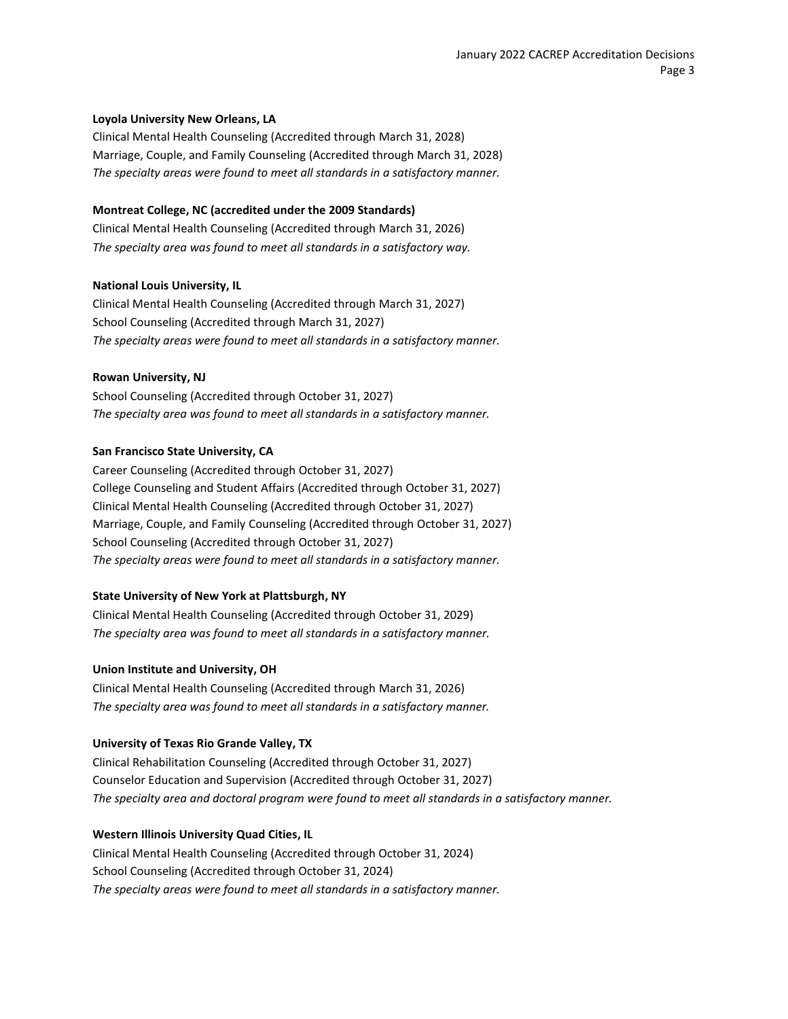#### **Loyola University New Orleans, LA**

Clinical Mental Health Counseling (Accredited through March 31, 2028) Marriage, Couple, and Family Counseling (Accredited through March 31, 2028) *The specialty areas were found to meet all standards in a satisfactory manner.*

#### **Montreat College, NC (accredited under the 2009 Standards)**

Clinical Mental Health Counseling (Accredited through March 31, 2026) *The specialty area was found to meet all standards in a satisfactory way.*

#### **National Louis University, IL**

Clinical Mental Health Counseling (Accredited through March 31, 2027) School Counseling (Accredited through March 31, 2027) *The specialty areas were found to meet all standards in a satisfactory manner.*

#### **Rowan University, NJ**

School Counseling (Accredited through October 31, 2027) *The specialty area was found to meet all standards in a satisfactory manner.*

#### **San Francisco State University, CA**

Career Counseling (Accredited through October 31, 2027) College Counseling and Student Affairs (Accredited through October 31, 2027) Clinical Mental Health Counseling (Accredited through October 31, 2027) Marriage, Couple, and Family Counseling (Accredited through October 31, 2027) School Counseling (Accredited through October 31, 2027) *The specialty areas were found to meet all standards in a satisfactory manner.*

## **State University of New York at Plattsburgh, NY**

Clinical Mental Health Counseling (Accredited through October 31, 2029) *The specialty area was found to meet all standards in a satisfactory manner.*

#### **Union Institute and University, OH**

Clinical Mental Health Counseling (Accredited through March 31, 2026) *The specialty area was found to meet all standards in a satisfactory manner.*

#### **University of Texas Rio Grande Valley, TX**

Clinical Rehabilitation Counseling (Accredited through October 31, 2027) Counselor Education and Supervision (Accredited through October 31, 2027) *The specialty area and doctoral program were found to meet all standards in a satisfactory manner.*

## **Western Illinois University Quad Cities, IL**

Clinical Mental Health Counseling (Accredited through October 31, 2024) School Counseling (Accredited through October 31, 2024) *The specialty areas were found to meet all standards in a satisfactory manner.*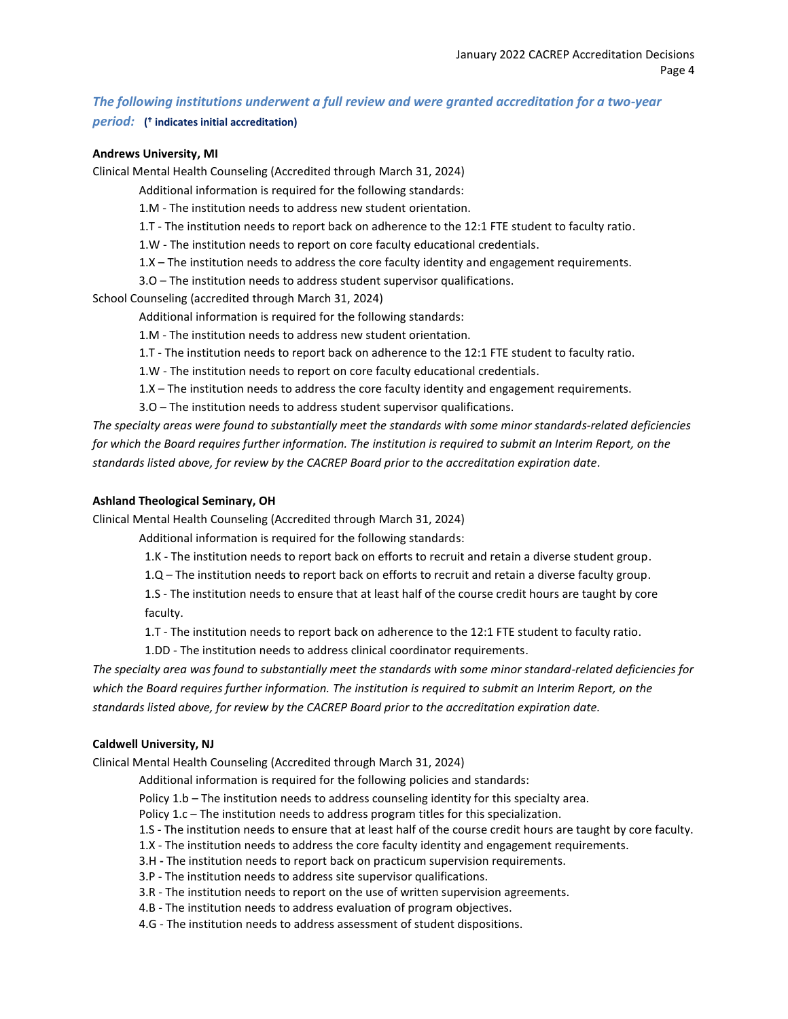# *The following institutions underwent a full review and were granted accreditation for a two-year period:* **( indicates initial accreditation)**

#### **Andrews University, MI**

Clinical Mental Health Counseling (Accredited through March 31, 2024)

Additional information is required for the following standards:

1.M - The institution needs to address new student orientation.

1.T - The institution needs to report back on adherence to the 12:1 FTE student to faculty ratio.

1.W - The institution needs to report on core faculty educational credentials.

1.X – The institution needs to address the core faculty identity and engagement requirements.

3.O – The institution needs to address student supervisor qualifications.

School Counseling (accredited through March 31, 2024)

Additional information is required for the following standards:

1.M - The institution needs to address new student orientation.

1.T - The institution needs to report back on adherence to the 12:1 FTE student to faculty ratio.

1.W - The institution needs to report on core faculty educational credentials.

1.X – The institution needs to address the core faculty identity and engagement requirements.

3.O – The institution needs to address student supervisor qualifications.

*The specialty areas were found to substantially meet the standards with some minor standards-related deficiencies for which the Board requires further information. The institution is required to submit an Interim Report, on the standards listed above, for review by the CACREP Board prior to the accreditation expiration date.*

#### **Ashland Theological Seminary, OH**

Clinical Mental Health Counseling (Accredited through March 31, 2024)

Additional information is required for the following standards:

1.K - The institution needs to report back on efforts to recruit and retain a diverse student group.

1.Q – The institution needs to report back on efforts to recruit and retain a diverse faculty group.

1.S - The institution needs to ensure that at least half of the course credit hours are taught by core faculty.

1.T - The institution needs to report back on adherence to the 12:1 FTE student to faculty ratio.

1.DD - The institution needs to address clinical coordinator requirements.

*The specialty area was found to substantially meet the standards with some minor standard-related deficiencies for which the Board requires further information. The institution is required to submit an Interim Report, on the standards listed above, for review by the CACREP Board prior to the accreditation expiration date.*

## **Caldwell University, NJ**

Clinical Mental Health Counseling (Accredited through March 31, 2024)

Additional information is required for the following policies and standards:

Policy 1.b – The institution needs to address counseling identity for this specialty area.

Policy 1.c – The institution needs to address program titles for this specialization.

1.S - The institution needs to ensure that at least half of the course credit hours are taught by core faculty.

- 1.X The institution needs to address the core faculty identity and engagement requirements.
- 3.H **-** The institution needs to report back on practicum supervision requirements.
- 3.P The institution needs to address site supervisor qualifications.
- 3.R The institution needs to report on the use of written supervision agreements.
- 4.B The institution needs to address evaluation of program objectives.
- 4.G The institution needs to address assessment of student dispositions.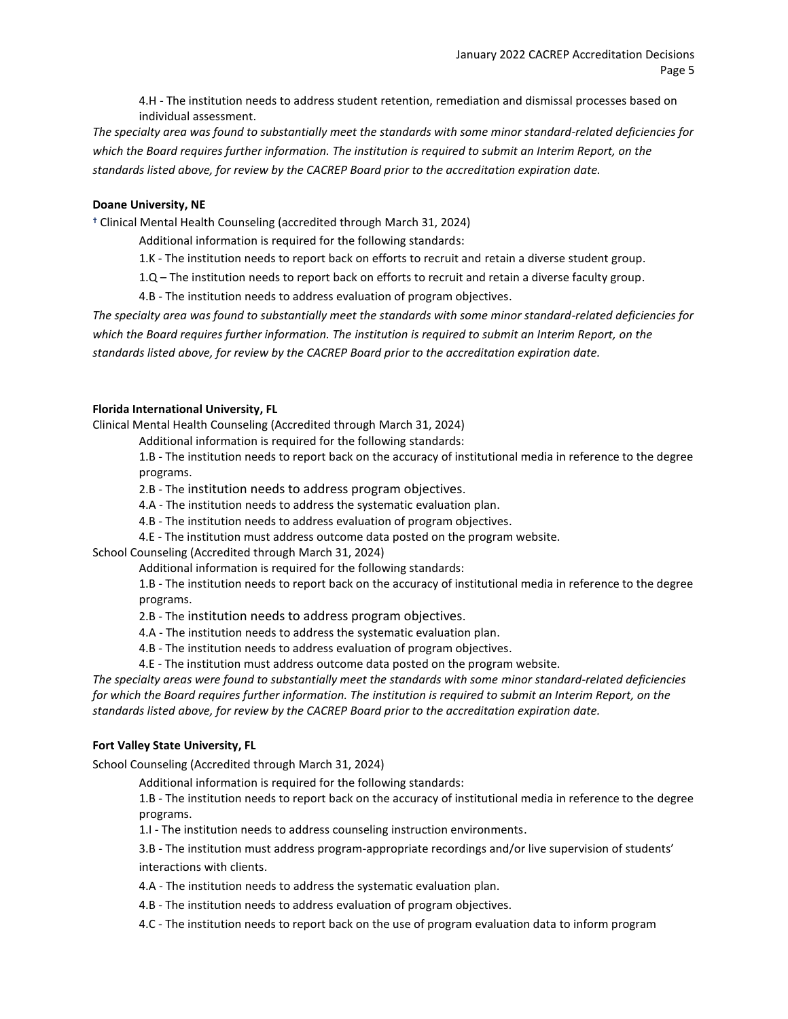4.H - The institution needs to address student retention, remediation and dismissal processes based on individual assessment.

*The specialty area was found to substantially meet the standards with some minor standard-related deficiencies for which the Board requires further information. The institution is required to submit an Interim Report, on the standards listed above, for review by the CACREP Board prior to the accreditation expiration date.*

#### **Doane University, NE**

Clinical Mental Health Counseling (accredited through March 31, 2024)

Additional information is required for the following standards:

1.K - The institution needs to report back on efforts to recruit and retain a diverse student group.

1.Q – The institution needs to report back on efforts to recruit and retain a diverse faculty group.

4.B - The institution needs to address evaluation of program objectives.

*The specialty area was found to substantially meet the standards with some minor standard-related deficiencies for which the Board requires further information. The institution is required to submit an Interim Report, on the standards listed above, for review by the CACREP Board prior to the accreditation expiration date.*

#### **Florida International University, FL**

Clinical Mental Health Counseling (Accredited through March 31, 2024)

Additional information is required for the following standards:

1.B - The institution needs to report back on the accuracy of institutional media in reference to the degree programs.

2.B - The institution needs to address program objectives.

4.A - The institution needs to address the systematic evaluation plan.

4.B - The institution needs to address evaluation of program objectives.

4.E - The institution must address outcome data posted on the program website.

School Counseling (Accredited through March 31, 2024)

Additional information is required for the following standards:

1.B - The institution needs to report back on the accuracy of institutional media in reference to the degree programs.

2.B - The institution needs to address program objectives.

4.A - The institution needs to address the systematic evaluation plan.

4.B - The institution needs to address evaluation of program objectives.

4.E - The institution must address outcome data posted on the program website.

*The specialty areas were found to substantially meet the standards with some minor standard-related deficiencies for which the Board requires further information. The institution is required to submit an Interim Report, on the standards listed above, for review by the CACREP Board prior to the accreditation expiration date.*

## **Fort Valley State University, FL**

School Counseling (Accredited through March 31, 2024)

Additional information is required for the following standards:

1.B - The institution needs to report back on the accuracy of institutional media in reference to the degree programs.

1.I - The institution needs to address counseling instruction environments.

3.B - The institution must address program-appropriate recordings and/or live supervision of students' interactions with clients.

4.A - The institution needs to address the systematic evaluation plan.

4.B - The institution needs to address evaluation of program objectives.

4.C - The institution needs to report back on the use of program evaluation data to inform program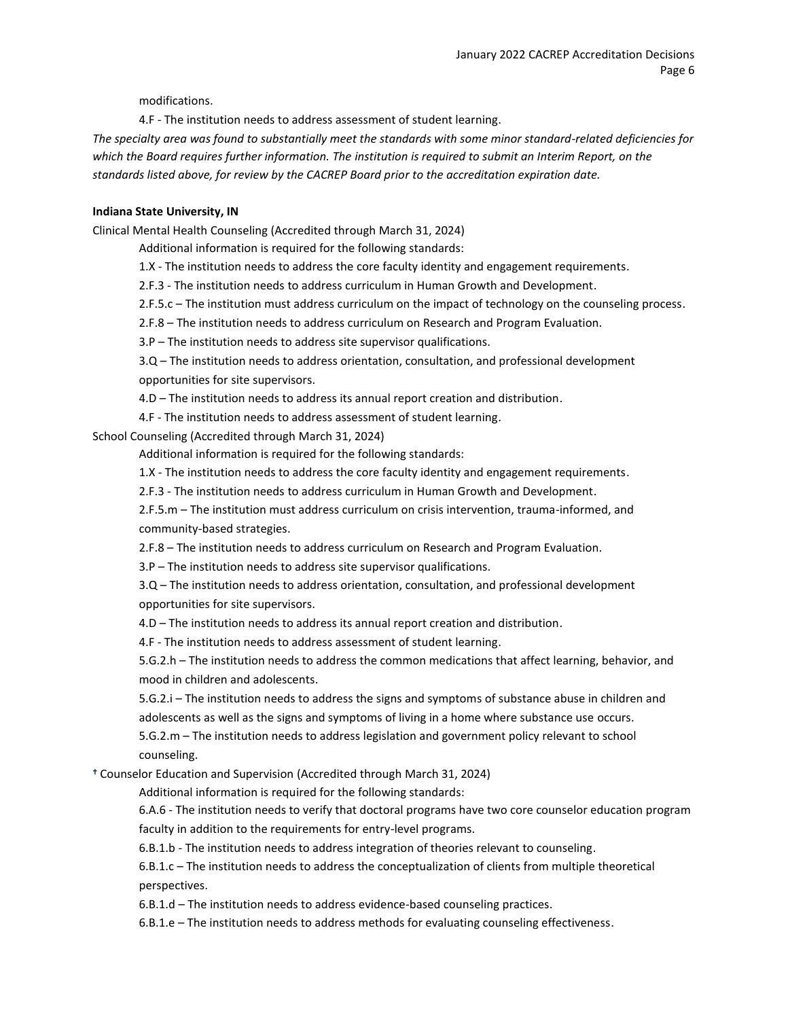modifications.

4.F - The institution needs to address assessment of student learning.

*The specialty area was found to substantially meet the standards with some minor standard-related deficiencies for which the Board requires further information. The institution is required to submit an Interim Report, on the standards listed above, for review by the CACREP Board prior to the accreditation expiration date.*

## **Indiana State University, IN**

Clinical Mental Health Counseling (Accredited through March 31, 2024)

Additional information is required for the following standards:

1.X - The institution needs to address the core faculty identity and engagement requirements.

2.F.3 - The institution needs to address curriculum in Human Growth and Development.

2.F.5.c – The institution must address curriculum on the impact of technology on the counseling process.

2.F.8 – The institution needs to address curriculum on Research and Program Evaluation.

3.P – The institution needs to address site supervisor qualifications.

3.Q – The institution needs to address orientation, consultation, and professional development

opportunities for site supervisors.

4.D – The institution needs to address its annual report creation and distribution.

4.F - The institution needs to address assessment of student learning.

School Counseling (Accredited through March 31, 2024)

Additional information is required for the following standards:

1.X - The institution needs to address the core faculty identity and engagement requirements.

2.F.3 - The institution needs to address curriculum in Human Growth and Development.

2.F.5.m – The institution must address curriculum on crisis intervention, trauma-informed, and community-based strategies.

2.F.8 – The institution needs to address curriculum on Research and Program Evaluation.

3.P – The institution needs to address site supervisor qualifications.

3.Q – The institution needs to address orientation, consultation, and professional development opportunities for site supervisors.

4.D – The institution needs to address its annual report creation and distribution.

4.F - The institution needs to address assessment of student learning.

5.G.2.h – The institution needs to address the common medications that affect learning, behavior, and mood in children and adolescents.

5.G.2.i – The institution needs to address the signs and symptoms of substance abuse in children and adolescents as well as the signs and symptoms of living in a home where substance use occurs.

5.G.2.m – The institution needs to address legislation and government policy relevant to school counseling.

Counselor Education and Supervision (Accredited through March 31, 2024)

Additional information is required for the following standards:

6.A.6 - The institution needs to verify that doctoral programs have two core counselor education program faculty in addition to the requirements for entry-level programs.

6.B.1.b - The institution needs to address integration of theories relevant to counseling.

6.B.1.c – The institution needs to address the conceptualization of clients from multiple theoretical perspectives.

6.B.1.d – The institution needs to address evidence-based counseling practices.

6.B.1.e – The institution needs to address methods for evaluating counseling effectiveness.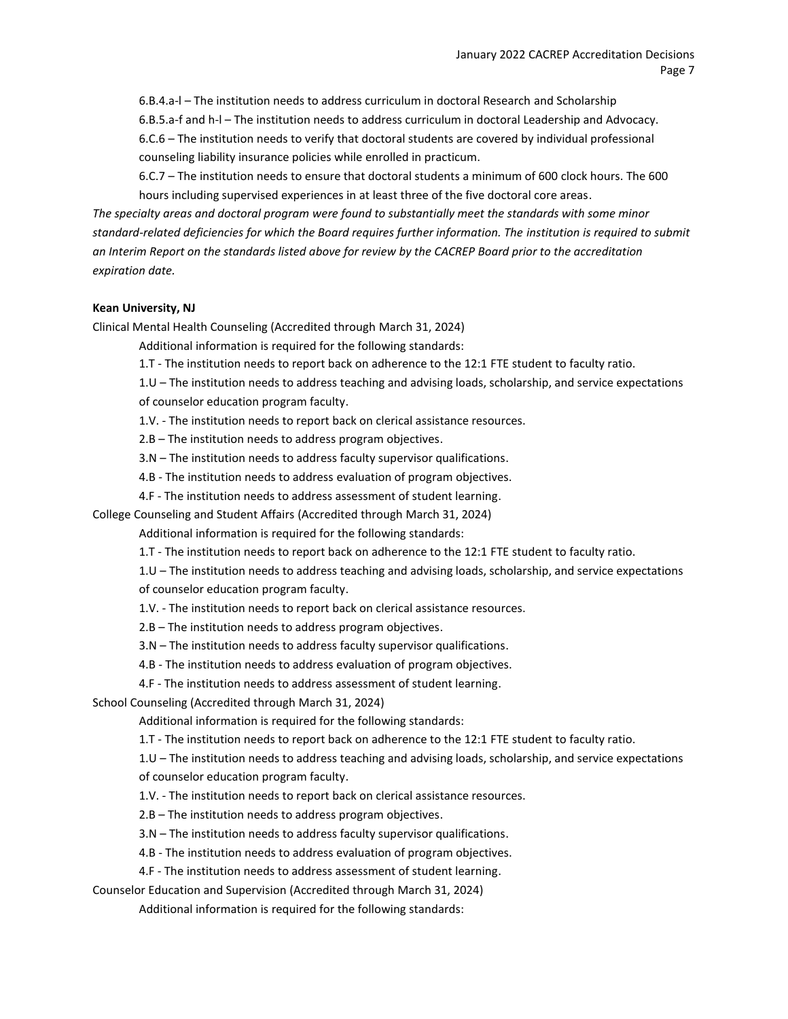6.B.4.a-l – The institution needs to address curriculum in doctoral Research and Scholarship 6.B.5.a-f and h-l – The institution needs to address curriculum in doctoral Leadership and Advocacy.

6.C.6 – The institution needs to verify that doctoral students are covered by individual professional counseling liability insurance policies while enrolled in practicum.

6.C.7 – The institution needs to ensure that doctoral students a minimum of 600 clock hours. The 600 hours including supervised experiences in at least three of the five doctoral core areas.

*The specialty areas and doctoral program were found to substantially meet the standards with some minor standard-related deficiencies for which the Board requires further information. The institution is required to submit an Interim Report on the standards listed above for review by the CACREP Board prior to the accreditation expiration date.*

## **Kean University, NJ**

Clinical Mental Health Counseling (Accredited through March 31, 2024)

Additional information is required for the following standards:

1.T - The institution needs to report back on adherence to the 12:1 FTE student to faculty ratio.

1.U – The institution needs to address teaching and advising loads, scholarship, and service expectations

of counselor education program faculty.

1.V. - The institution needs to report back on clerical assistance resources.

2.B – The institution needs to address program objectives.

3.N – The institution needs to address faculty supervisor qualifications.

4.B - The institution needs to address evaluation of program objectives.

4.F - The institution needs to address assessment of student learning.

College Counseling and Student Affairs (Accredited through March 31, 2024)

Additional information is required for the following standards:

1.T - The institution needs to report back on adherence to the 12:1 FTE student to faculty ratio.

1.U – The institution needs to address teaching and advising loads, scholarship, and service expectations of counselor education program faculty.

1.V. - The institution needs to report back on clerical assistance resources.

2.B – The institution needs to address program objectives.

3.N – The institution needs to address faculty supervisor qualifications.

4.B - The institution needs to address evaluation of program objectives.

4.F - The institution needs to address assessment of student learning.

School Counseling (Accredited through March 31, 2024)

Additional information is required for the following standards:

1.T - The institution needs to report back on adherence to the 12:1 FTE student to faculty ratio.

1.U – The institution needs to address teaching and advising loads, scholarship, and service expectations of counselor education program faculty.

1.V. - The institution needs to report back on clerical assistance resources.

2.B – The institution needs to address program objectives.

3.N – The institution needs to address faculty supervisor qualifications.

4.B - The institution needs to address evaluation of program objectives.

4.F - The institution needs to address assessment of student learning.

Counselor Education and Supervision (Accredited through March 31, 2024)

Additional information is required for the following standards: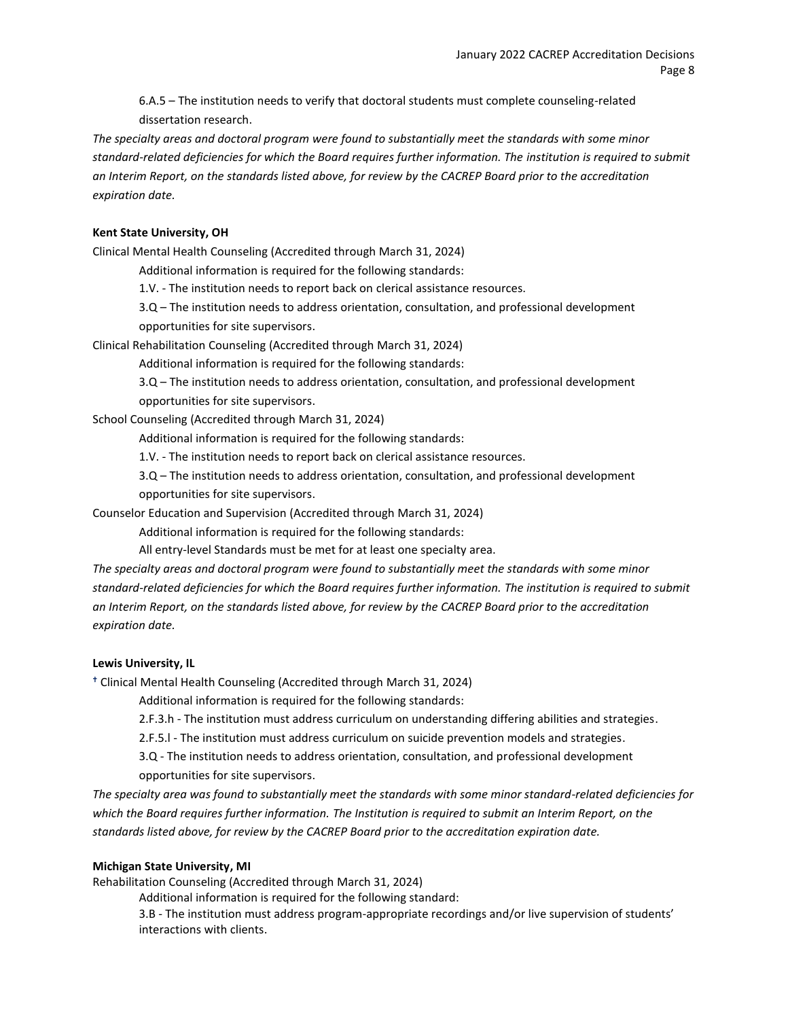6.A.5 – The institution needs to verify that doctoral students must complete counseling-related dissertation research.

*The specialty areas and doctoral program were found to substantially meet the standards with some minor standard-related deficiencies for which the Board requires further information. The institution is required to submit an Interim Report, on the standards listed above, for review by the CACREP Board prior to the accreditation expiration date.*

## **Kent State University, OH**

Clinical Mental Health Counseling (Accredited through March 31, 2024)

Additional information is required for the following standards:

1.V. - The institution needs to report back on clerical assistance resources.

3.Q – The institution needs to address orientation, consultation, and professional development opportunities for site supervisors.

Clinical Rehabilitation Counseling (Accredited through March 31, 2024)

Additional information is required for the following standards:

3.Q – The institution needs to address orientation, consultation, and professional development

opportunities for site supervisors.

School Counseling (Accredited through March 31, 2024)

Additional information is required for the following standards:

1.V. - The institution needs to report back on clerical assistance resources.

3.Q – The institution needs to address orientation, consultation, and professional development opportunities for site supervisors.

Counselor Education and Supervision (Accredited through March 31, 2024)

Additional information is required for the following standards:

All entry-level Standards must be met for at least one specialty area.

*The specialty areas and doctoral program were found to substantially meet the standards with some minor standard-related deficiencies for which the Board requires further information. The institution is required to submit an Interim Report, on the standards listed above, for review by the CACREP Board prior to the accreditation expiration date.*

#### **Lewis University, IL**

Clinical Mental Health Counseling (Accredited through March 31, 2024)

Additional information is required for the following standards:

2.F.3.h - The institution must address curriculum on understanding differing abilities and strategies.

2.F.5.l - The institution must address curriculum on suicide prevention models and strategies.

3.Q - The institution needs to address orientation, consultation, and professional development opportunities for site supervisors.

*The specialty area was found to substantially meet the standards with some minor standard-related deficiencies for which the Board requires further information. The Institution is required to submit an Interim Report, on the standards listed above, for review by the CACREP Board prior to the accreditation expiration date.*

## **Michigan State University, MI**

Rehabilitation Counseling (Accredited through March 31, 2024)

Additional information is required for the following standard:

3.B - The institution must address program-appropriate recordings and/or live supervision of students' interactions with clients.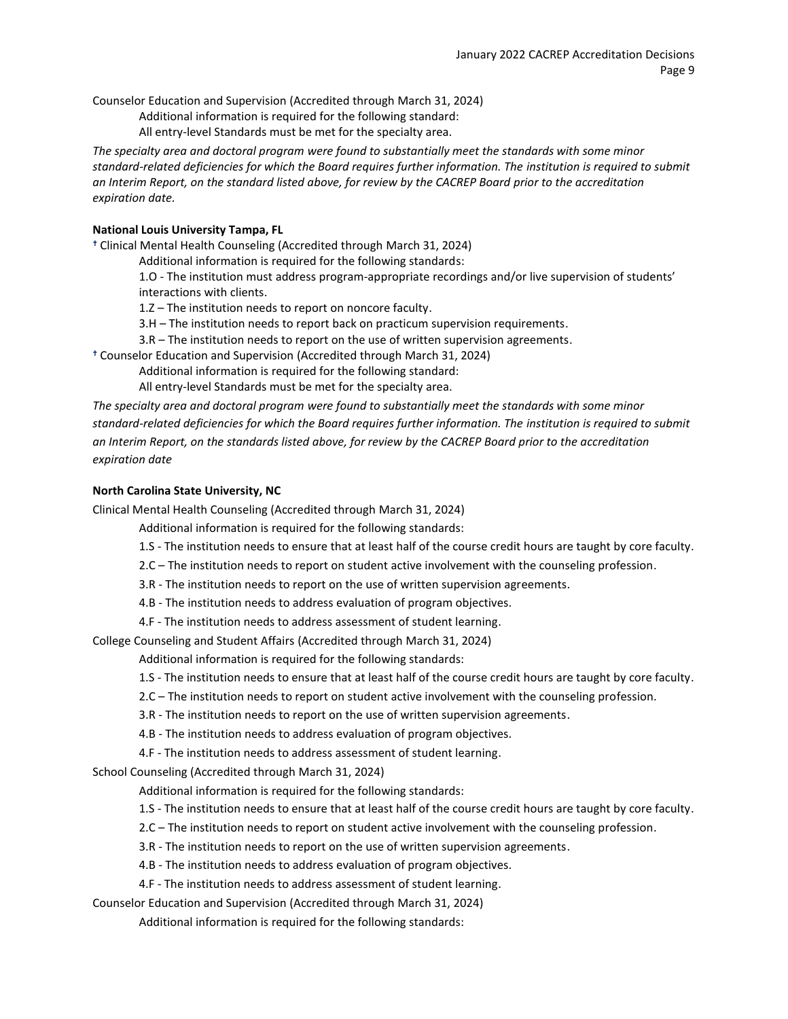Counselor Education and Supervision (Accredited through March 31, 2024)

Additional information is required for the following standard:

All entry-level Standards must be met for the specialty area.

*The specialty area and doctoral program were found to substantially meet the standards with some minor standard-related deficiencies for which the Board requires further information. The institution is required to submit an Interim Report, on the standard listed above, for review by the CACREP Board prior to the accreditation expiration date.*

## **National Louis University Tampa, FL**

Clinical Mental Health Counseling (Accredited through March 31, 2024)

Additional information is required for the following standards:

1.O - The institution must address program-appropriate recordings and/or live supervision of students' interactions with clients.

1.Z – The institution needs to report on noncore faculty.

3.H – The institution needs to report back on practicum supervision requirements.

3.R – The institution needs to report on the use of written supervision agreements.

Counselor Education and Supervision (Accredited through March 31, 2024)

Additional information is required for the following standard:

All entry-level Standards must be met for the specialty area.

*The specialty area and doctoral program were found to substantially meet the standards with some minor standard-related deficiencies for which the Board requires further information. The institution is required to submit an Interim Report, on the standards listed above, for review by the CACREP Board prior to the accreditation expiration date*

## **North Carolina State University, NC**

Clinical Mental Health Counseling (Accredited through March 31, 2024)

Additional information is required for the following standards:

- 1.S The institution needs to ensure that at least half of the course credit hours are taught by core faculty.
- 2.C The institution needs to report on student active involvement with the counseling profession.
- 3.R The institution needs to report on the use of written supervision agreements.
- 4.B The institution needs to address evaluation of program objectives.
- 4.F The institution needs to address assessment of student learning.

College Counseling and Student Affairs (Accredited through March 31, 2024)

Additional information is required for the following standards:

- 1.S The institution needs to ensure that at least half of the course credit hours are taught by core faculty.
- 2.C The institution needs to report on student active involvement with the counseling profession.
- 3.R The institution needs to report on the use of written supervision agreements.

4.B - The institution needs to address evaluation of program objectives.

4.F - The institution needs to address assessment of student learning.

School Counseling (Accredited through March 31, 2024)

Additional information is required for the following standards:

- 1.S The institution needs to ensure that at least half of the course credit hours are taught by core faculty.
- 2.C The institution needs to report on student active involvement with the counseling profession.
- 3.R The institution needs to report on the use of written supervision agreements.
- 4.B The institution needs to address evaluation of program objectives.
- 4.F The institution needs to address assessment of student learning.

Counselor Education and Supervision (Accredited through March 31, 2024)

Additional information is required for the following standards: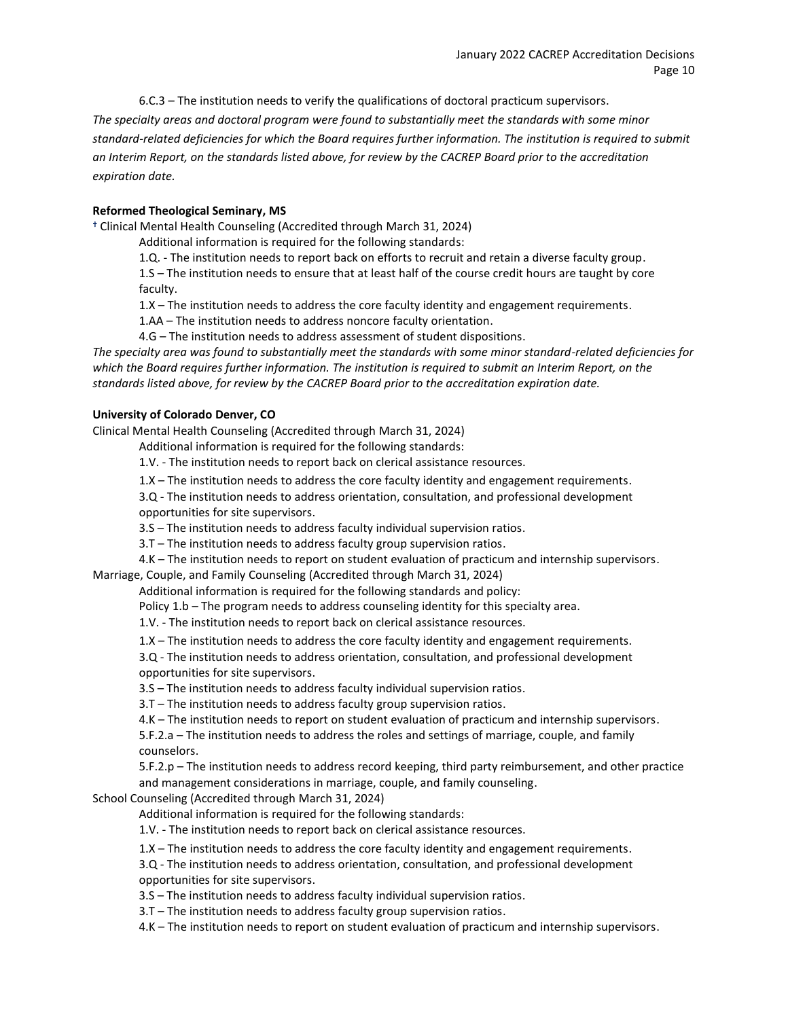6.C.3 – The institution needs to verify the qualifications of doctoral practicum supervisors. *The specialty areas and doctoral program were found to substantially meet the standards with some minor standard-related deficiencies for which the Board requires further information. The institution is required to submit an Interim Report, on the standards listed above, for review by the CACREP Board prior to the accreditation expiration date.*

## **Reformed Theological Seminary, MS**

Clinical Mental Health Counseling (Accredited through March 31, 2024)

Additional information is required for the following standards:

1.Q. - The institution needs to report back on efforts to recruit and retain a diverse faculty group.

1.S – The institution needs to ensure that at least half of the course credit hours are taught by core faculty.

1.X – The institution needs to address the core faculty identity and engagement requirements.

1.AA – The institution needs to address noncore faculty orientation.

4.G – The institution needs to address assessment of student dispositions.

*The specialty area was found to substantially meet the standards with some minor standard-related deficiencies for which the Board requires further information. The institution is required to submit an Interim Report, on the standards listed above, for review by the CACREP Board prior to the accreditation expiration date.*

## **University of Colorado Denver, CO**

Clinical Mental Health Counseling (Accredited through March 31, 2024)

Additional information is required for the following standards:

1.V. - The institution needs to report back on clerical assistance resources.

1.X – The institution needs to address the core faculty identity and engagement requirements.

3.Q - The institution needs to address orientation, consultation, and professional development opportunities for site supervisors.

3.S – The institution needs to address faculty individual supervision ratios.

3.T – The institution needs to address faculty group supervision ratios.

4.K – The institution needs to report on student evaluation of practicum and internship supervisors. Marriage, Couple, and Family Counseling (Accredited through March 31, 2024)

Additional information is required for the following standards and policy:

Policy 1.b – The program needs to address counseling identity for this specialty area.

1.V. - The institution needs to report back on clerical assistance resources.

1.X – The institution needs to address the core faculty identity and engagement requirements.

3.Q - The institution needs to address orientation, consultation, and professional development opportunities for site supervisors.

3.S – The institution needs to address faculty individual supervision ratios.

3.T – The institution needs to address faculty group supervision ratios.

4.K – The institution needs to report on student evaluation of practicum and internship supervisors.

5.F.2.a – The institution needs to address the roles and settings of marriage, couple, and family counselors.

5.F.2.p – The institution needs to address record keeping, third party reimbursement, and other practice and management considerations in marriage, couple, and family counseling.

School Counseling (Accredited through March 31, 2024)

Additional information is required for the following standards:

1.V. - The institution needs to report back on clerical assistance resources.

1.X – The institution needs to address the core faculty identity and engagement requirements.

3.Q - The institution needs to address orientation, consultation, and professional development opportunities for site supervisors.

3.S – The institution needs to address faculty individual supervision ratios.

3.T – The institution needs to address faculty group supervision ratios.

4.K – The institution needs to report on student evaluation of practicum and internship supervisors.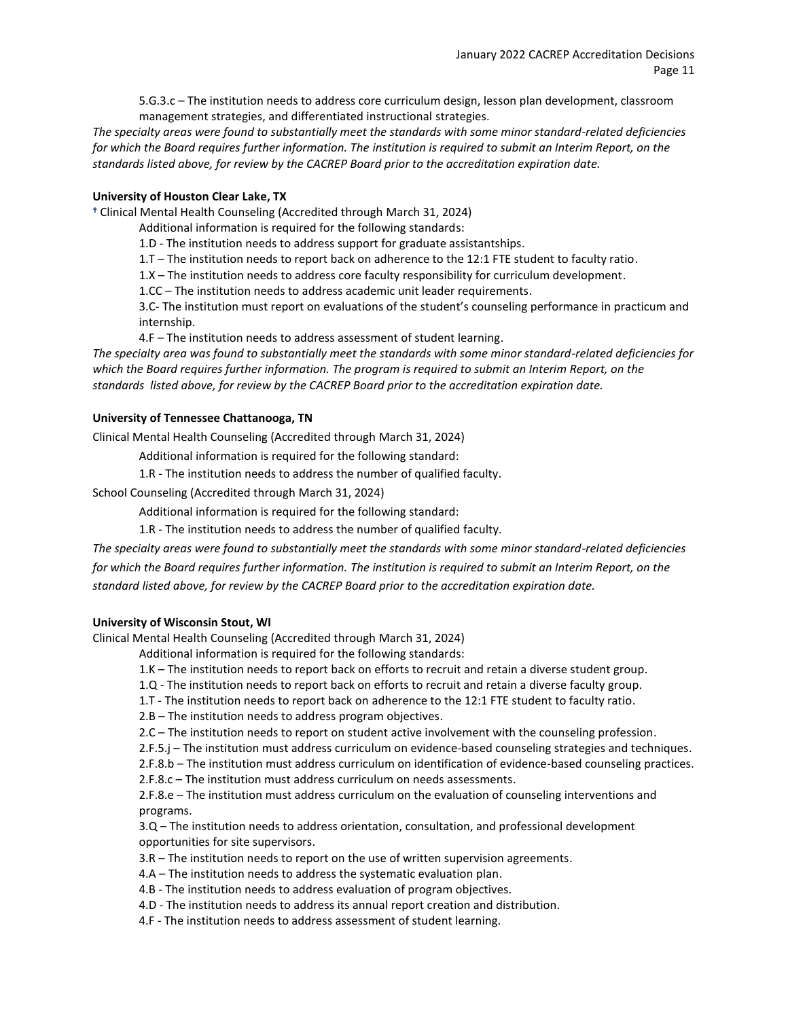5.G.3.c – The institution needs to address core curriculum design, lesson plan development, classroom management strategies, and differentiated instructional strategies.

*The specialty areas were found to substantially meet the standards with some minor standard-related deficiencies*  for which the Board requires further information. The institution is required to submit an Interim Report, on the *standards listed above, for review by the CACREP Board prior to the accreditation expiration date.*

#### **University of Houston Clear Lake, TX**

Clinical Mental Health Counseling (Accredited through March 31, 2024)

Additional information is required for the following standards:

1.D - The institution needs to address support for graduate assistantships.

1.T – The institution needs to report back on adherence to the 12:1 FTE student to faculty ratio.

1.X – The institution needs to address core faculty responsibility for curriculum development.

1.CC – The institution needs to address academic unit leader requirements.

3.C- The institution must report on evaluations of the student's counseling performance in practicum and internship.

4.F – The institution needs to address assessment of student learning.

*The specialty area was found to substantially meet the standards with some minor standard-related deficiencies for which the Board requires further information. The program is required to submit an Interim Report, on the standards listed above, for review by the CACREP Board prior to the accreditation expiration date.*

#### **University of Tennessee Chattanooga, TN**

Clinical Mental Health Counseling (Accredited through March 31, 2024)

Additional information is required for the following standard:

1.R - The institution needs to address the number of qualified faculty.

School Counseling (Accredited through March 31, 2024)

Additional information is required for the following standard:

1.R - The institution needs to address the number of qualified faculty.

*The specialty areas were found to substantially meet the standards with some minor standard-related deficiencies*  for which the Board requires further information. The institution is required to submit an Interim Report, on the *standard listed above, for review by the CACREP Board prior to the accreditation expiration date.*

## **University of Wisconsin Stout, WI**

Clinical Mental Health Counseling (Accredited through March 31, 2024)

Additional information is required for the following standards:

1.K – The institution needs to report back on efforts to recruit and retain a diverse student group.

1.Q - The institution needs to report back on efforts to recruit and retain a diverse faculty group.

1.T - The institution needs to report back on adherence to the 12:1 FTE student to faculty ratio.

2.B – The institution needs to address program objectives.

2.C – The institution needs to report on student active involvement with the counseling profession.

2.F.5.j – The institution must address curriculum on evidence-based counseling strategies and techniques.

2.F.8.b – The institution must address curriculum on identification of evidence-based counseling practices.

2.F.8.c – The institution must address curriculum on needs assessments.

2.F.8.e – The institution must address curriculum on the evaluation of counseling interventions and programs.

3.Q – The institution needs to address orientation, consultation, and professional development opportunities for site supervisors.

3.R – The institution needs to report on the use of written supervision agreements.

4.A – The institution needs to address the systematic evaluation plan.

4.B - The institution needs to address evaluation of program objectives.

4.D - The institution needs to address its annual report creation and distribution.

4.F - The institution needs to address assessment of student learning.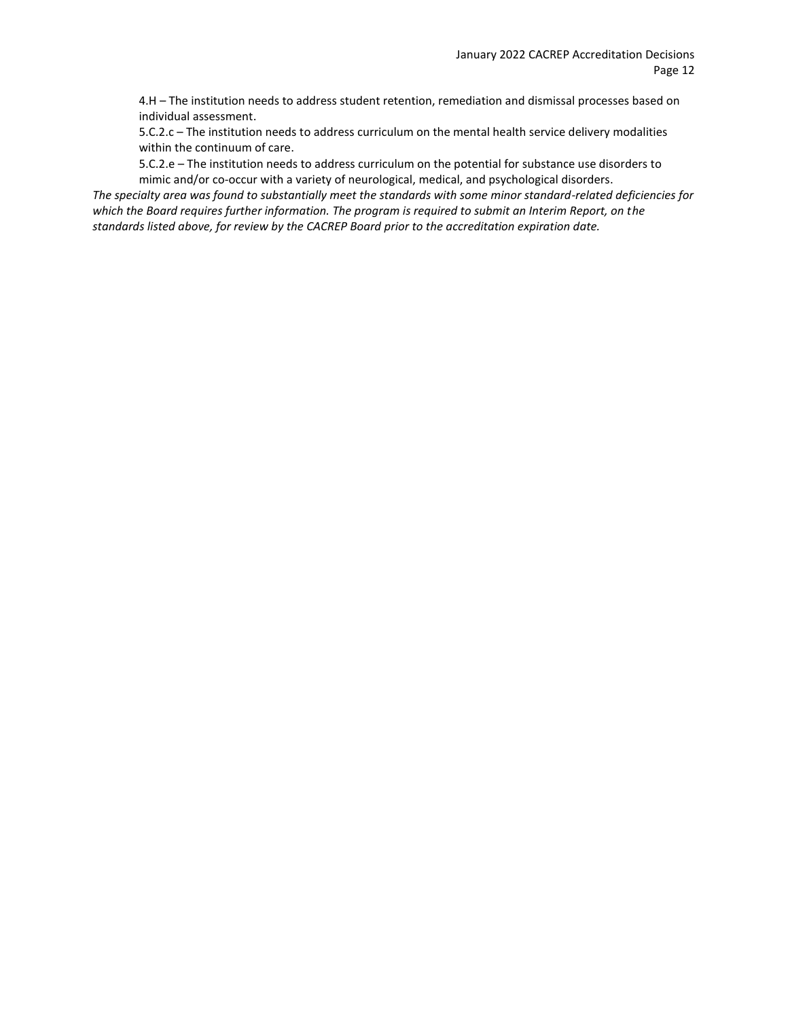4.H – The institution needs to address student retention, remediation and dismissal processes based on individual assessment.

5.C.2.c – The institution needs to address curriculum on the mental health service delivery modalities within the continuum of care.

5.C.2.e – The institution needs to address curriculum on the potential for substance use disorders to mimic and/or co-occur with a variety of neurological, medical, and psychological disorders.

*The specialty area was found to substantially meet the standards with some minor standard-related deficiencies for which the Board requires further information. The program is required to submit an Interim Report, on the standards listed above, for review by the CACREP Board prior to the accreditation expiration date.*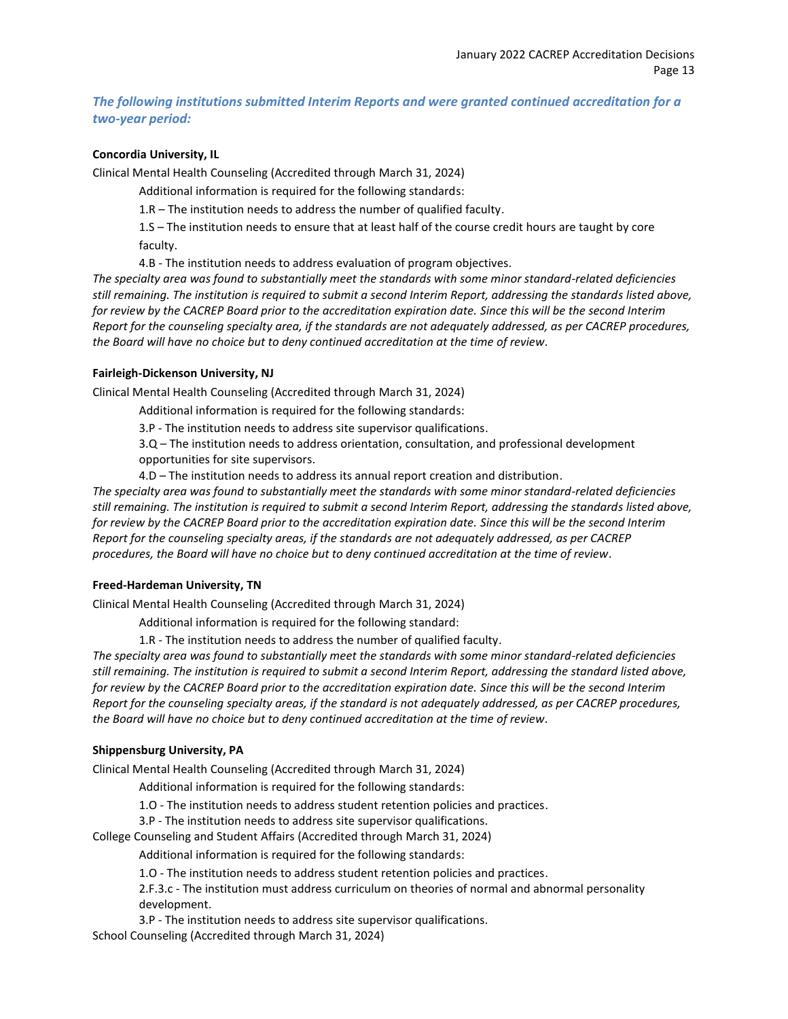## *The following institutions submitted Interim Reports and were granted continued accreditation for a two-year period:*

#### **Concordia University, IL**

Clinical Mental Health Counseling (Accredited through March 31, 2024)

Additional information is required for the following standards:

1.R – The institution needs to address the number of qualified faculty.

1.S – The institution needs to ensure that at least half of the course credit hours are taught by core faculty.

4.B - The institution needs to address evaluation of program objectives.

*The specialty area was found to substantially meet the standards with some minor standard-related deficiencies still remaining. The institution is required to submit a second Interim Report, addressing the standards listed above, for review by the CACREP Board prior to the accreditation expiration date. Since this will be the second Interim Report for the counseling specialty area, if the standards are not adequately addressed, as per CACREP procedures, the Board will have no choice but to deny continued accreditation at the time of review.*

#### **Fairleigh-Dickenson University, NJ**

Clinical Mental Health Counseling (Accredited through March 31, 2024)

Additional information is required for the following standards:

3.P - The institution needs to address site supervisor qualifications.

3.Q – The institution needs to address orientation, consultation, and professional development opportunities for site supervisors.

4.D – The institution needs to address its annual report creation and distribution.

*The specialty area was found to substantially meet the standards with some minor standard-related deficiencies still remaining. The institution is required to submit a second Interim Report, addressing the standards listed above, for review by the CACREP Board prior to the accreditation expiration date. Since this will be the second Interim Report for the counseling specialty areas, if the standards are not adequately addressed, as per CACREP procedures, the Board will have no choice but to deny continued accreditation at the time of review.*

## **Freed-Hardeman University, TN**

Clinical Mental Health Counseling (Accredited through March 31, 2024)

Additional information is required for the following standard:

1.R - The institution needs to address the number of qualified faculty.

*The specialty area was found to substantially meet the standards with some minor standard-related deficiencies still remaining. The institution is required to submit a second Interim Report, addressing the standard listed above, for review by the CACREP Board prior to the accreditation expiration date. Since this will be the second Interim Report for the counseling specialty areas, if the standard is not adequately addressed, as per CACREP procedures, the Board will have no choice but to deny continued accreditation at the time of review.*

## **Shippensburg University, PA**

Clinical Mental Health Counseling (Accredited through March 31, 2024)

Additional information is required for the following standards:

1.O - The institution needs to address student retention policies and practices.

3.P - The institution needs to address site supervisor qualifications.

College Counseling and Student Affairs (Accredited through March 31, 2024)

Additional information is required for the following standards:

1.O - The institution needs to address student retention policies and practices.

2.F.3.c - The institution must address curriculum on theories of normal and abnormal personality development.

3.P - The institution needs to address site supervisor qualifications.

School Counseling (Accredited through March 31, 2024)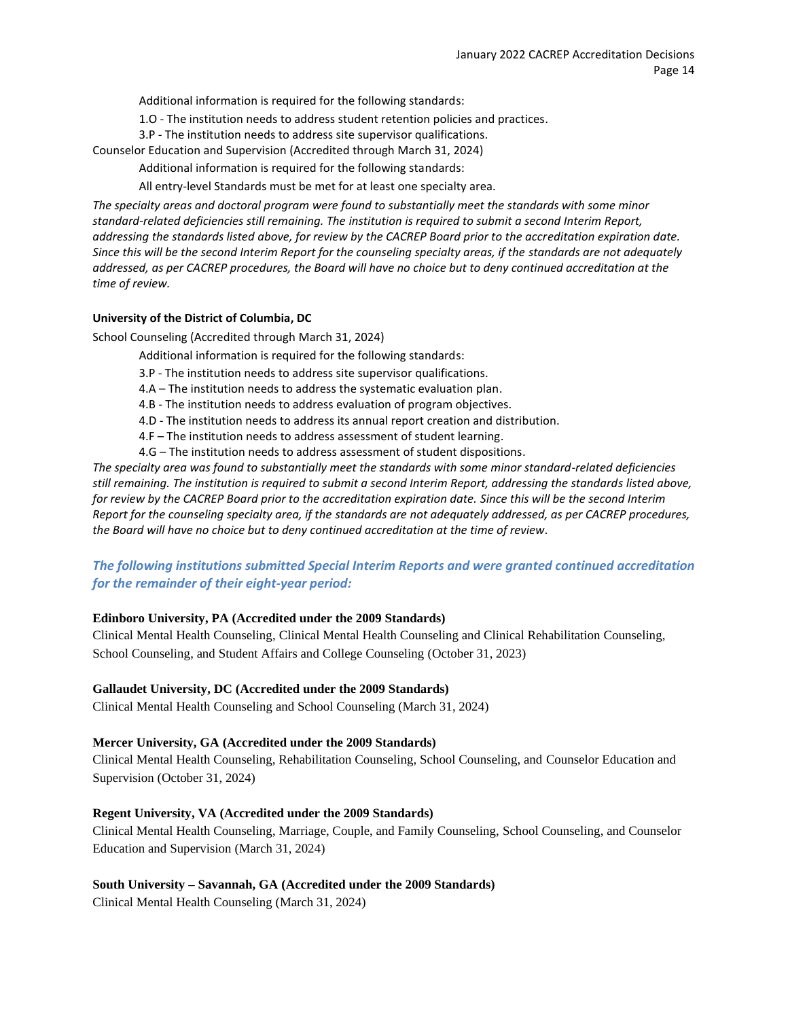Additional information is required for the following standards:

1.O - The institution needs to address student retention policies and practices.

3.P - The institution needs to address site supervisor qualifications.

Counselor Education and Supervision (Accredited through March 31, 2024)

Additional information is required for the following standards:

All entry-level Standards must be met for at least one specialty area.

*The specialty areas and doctoral program were found to substantially meet the standards with some minor standard-related deficiencies still remaining. The institution is required to submit a second Interim Report, addressing the standards listed above, for review by the CACREP Board prior to the accreditation expiration date. Since this will be the second Interim Report for the counseling specialty areas, if the standards are not adequately addressed, as per CACREP procedures, the Board will have no choice but to deny continued accreditation at the time of review.*

## **University of the District of Columbia, DC**

School Counseling (Accredited through March 31, 2024)

- Additional information is required for the following standards:
- 3.P The institution needs to address site supervisor qualifications.
- 4.A The institution needs to address the systematic evaluation plan.
- 4.B The institution needs to address evaluation of program objectives.
- 4.D The institution needs to address its annual report creation and distribution.
- 4.F The institution needs to address assessment of student learning.
- 4.G The institution needs to address assessment of student dispositions.

*The specialty area was found to substantially meet the standards with some minor standard-related deficiencies still remaining. The institution is required to submit a second Interim Report, addressing the standards listed above, for review by the CACREP Board prior to the accreditation expiration date. Since this will be the second Interim Report for the counseling specialty area, if the standards are not adequately addressed, as per CACREP procedures, the Board will have no choice but to deny continued accreditation at the time of review.*

# *The following institutions submitted Special Interim Reports and were granted continued accreditation for the remainder of their eight-year period:*

## **Edinboro University, PA (Accredited under the 2009 Standards)**

Clinical Mental Health Counseling, Clinical Mental Health Counseling and Clinical Rehabilitation Counseling, School Counseling, and Student Affairs and College Counseling (October 31, 2023)

## **Gallaudet University, DC (Accredited under the 2009 Standards)**

Clinical Mental Health Counseling and School Counseling (March 31, 2024)

#### **Mercer University, GA (Accredited under the 2009 Standards)**

Clinical Mental Health Counseling, Rehabilitation Counseling, School Counseling, and Counselor Education and Supervision (October 31, 2024)

## **Regent University, VA (Accredited under the 2009 Standards)**

Clinical Mental Health Counseling, Marriage, Couple, and Family Counseling, School Counseling, and Counselor Education and Supervision (March 31, 2024)

## **South University – Savannah, GA (Accredited under the 2009 Standards)**

Clinical Mental Health Counseling (March 31, 2024)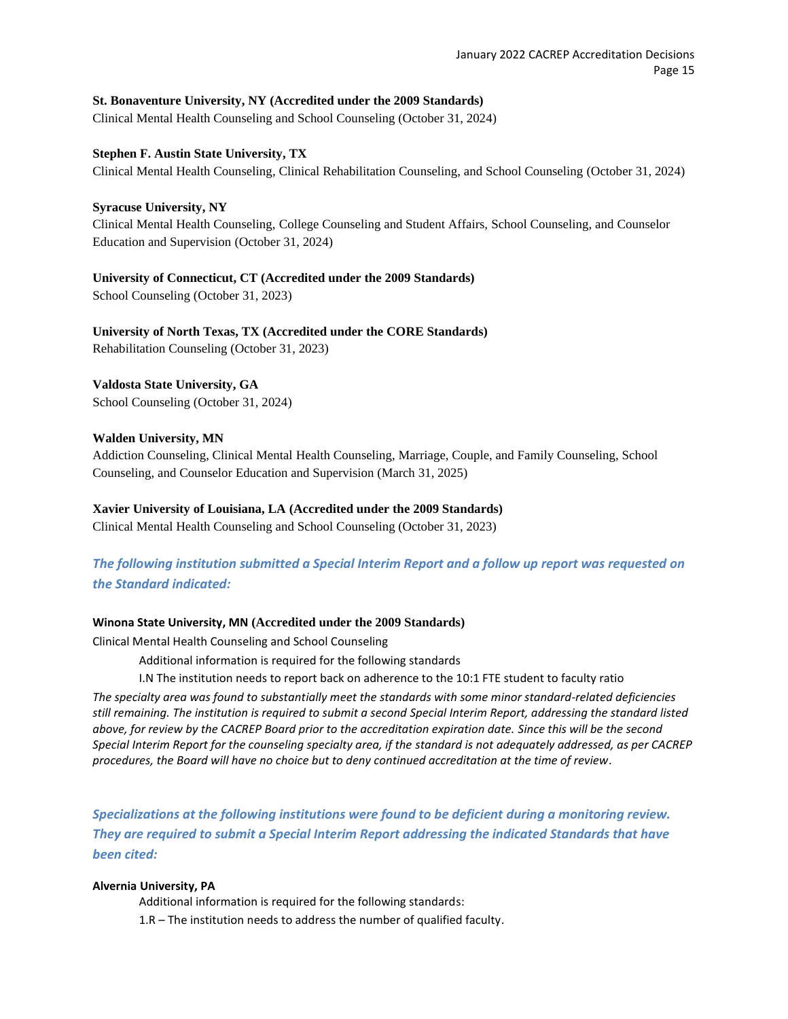## **St. Bonaventure University, NY (Accredited under the 2009 Standards)**

Clinical Mental Health Counseling and School Counseling (October 31, 2024)

#### **Stephen F. Austin State University, TX**

Clinical Mental Health Counseling, Clinical Rehabilitation Counseling, and School Counseling (October 31, 2024)

#### **Syracuse University, NY**

Clinical Mental Health Counseling, College Counseling and Student Affairs, School Counseling, and Counselor Education and Supervision (October 31, 2024)

## **University of Connecticut, CT (Accredited under the 2009 Standards)**

School Counseling (October 31, 2023)

**University of North Texas, TX (Accredited under the CORE Standards)** Rehabilitation Counseling (October 31, 2023)

**Valdosta State University, GA** School Counseling (October 31, 2024)

## **Walden University, MN**

Addiction Counseling, Clinical Mental Health Counseling, Marriage, Couple, and Family Counseling, School Counseling, and Counselor Education and Supervision (March 31, 2025)

## **Xavier University of Louisiana, LA (Accredited under the 2009 Standards)**

Clinical Mental Health Counseling and School Counseling (October 31, 2023)

# *The following institution submitted a Special Interim Report and a follow up report was requested on the Standard indicated:*

## **Winona State University, MN (Accredited under the 2009 Standards)**

Clinical Mental Health Counseling and School Counseling

Additional information is required for the following standards

I.N The institution needs to report back on adherence to the 10:1 FTE student to faculty ratio

*The specialty area was found to substantially meet the standards with some minor standard-related deficiencies still remaining. The institution is required to submit a second Special Interim Report, addressing the standard listed above, for review by the CACREP Board prior to the accreditation expiration date. Since this will be the second Special Interim Report for the counseling specialty area, if the standard is not adequately addressed, as per CACREP procedures, the Board will have no choice but to deny continued accreditation at the time of review.*

*Specializations at the following institutions were found to be deficient during a monitoring review. They are required to submit a Special Interim Report addressing the indicated Standards that have been cited:*

## **Alvernia University, PA**

Additional information is required for the following standards:

1.R – The institution needs to address the number of qualified faculty.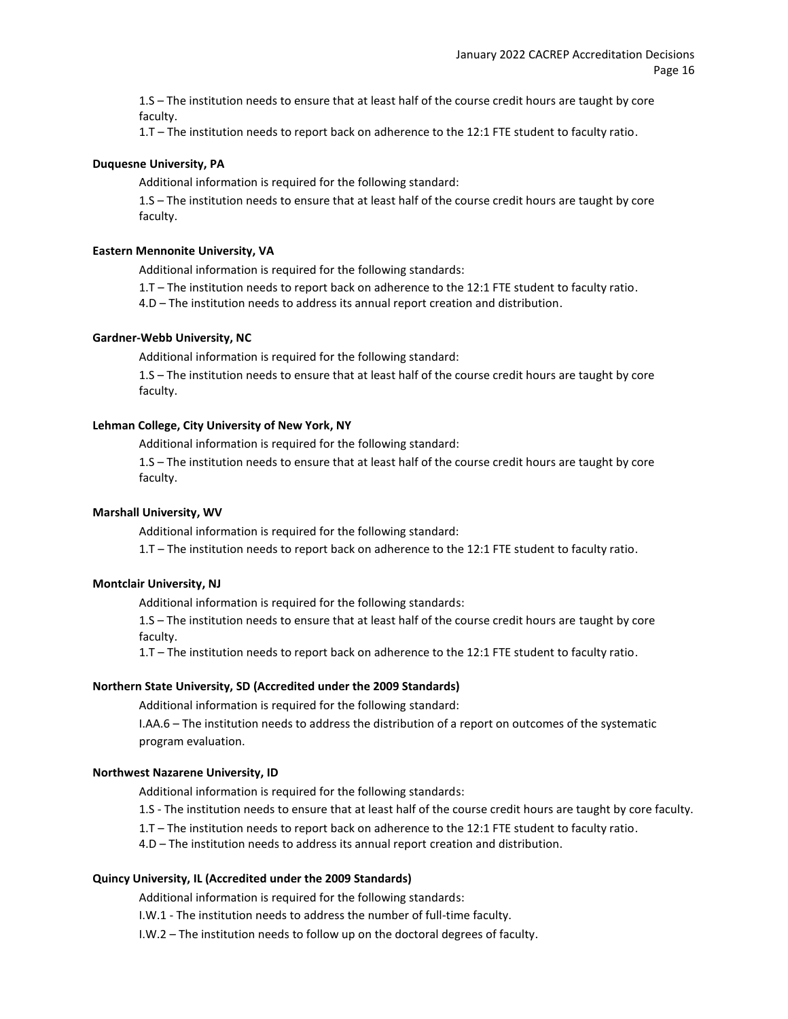1.S – The institution needs to ensure that at least half of the course credit hours are taught by core faculty.

1.T – The institution needs to report back on adherence to the 12:1 FTE student to faculty ratio.

#### **Duquesne University, PA**

Additional information is required for the following standard:

1.S – The institution needs to ensure that at least half of the course credit hours are taught by core faculty.

#### **Eastern Mennonite University, VA**

Additional information is required for the following standards:

1.T – The institution needs to report back on adherence to the 12:1 FTE student to faculty ratio.

4.D – The institution needs to address its annual report creation and distribution.

## **Gardner-Webb University, NC**

Additional information is required for the following standard:

1.S – The institution needs to ensure that at least half of the course credit hours are taught by core faculty.

#### **Lehman College, City University of New York, NY**

Additional information is required for the following standard:

1.S – The institution needs to ensure that at least half of the course credit hours are taught by core faculty.

#### **Marshall University, WV**

Additional information is required for the following standard:

1.T – The institution needs to report back on adherence to the 12:1 FTE student to faculty ratio.

#### **Montclair University, NJ**

Additional information is required for the following standards:

1.S – The institution needs to ensure that at least half of the course credit hours are taught by core faculty.

1.T – The institution needs to report back on adherence to the 12:1 FTE student to faculty ratio.

#### **Northern State University, SD (Accredited under the 2009 Standards)**

Additional information is required for the following standard:

I.AA.6 – The institution needs to address the distribution of a report on outcomes of the systematic program evaluation.

#### **Northwest Nazarene University, ID**

Additional information is required for the following standards:

1.S - The institution needs to ensure that at least half of the course credit hours are taught by core faculty.

1.T – The institution needs to report back on adherence to the 12:1 FTE student to faculty ratio.

4.D – The institution needs to address its annual report creation and distribution.

#### **Quincy University, IL (Accredited under the 2009 Standards)**

Additional information is required for the following standards:

I.W.1 - The institution needs to address the number of full-time faculty.

I.W.2 – The institution needs to follow up on the doctoral degrees of faculty.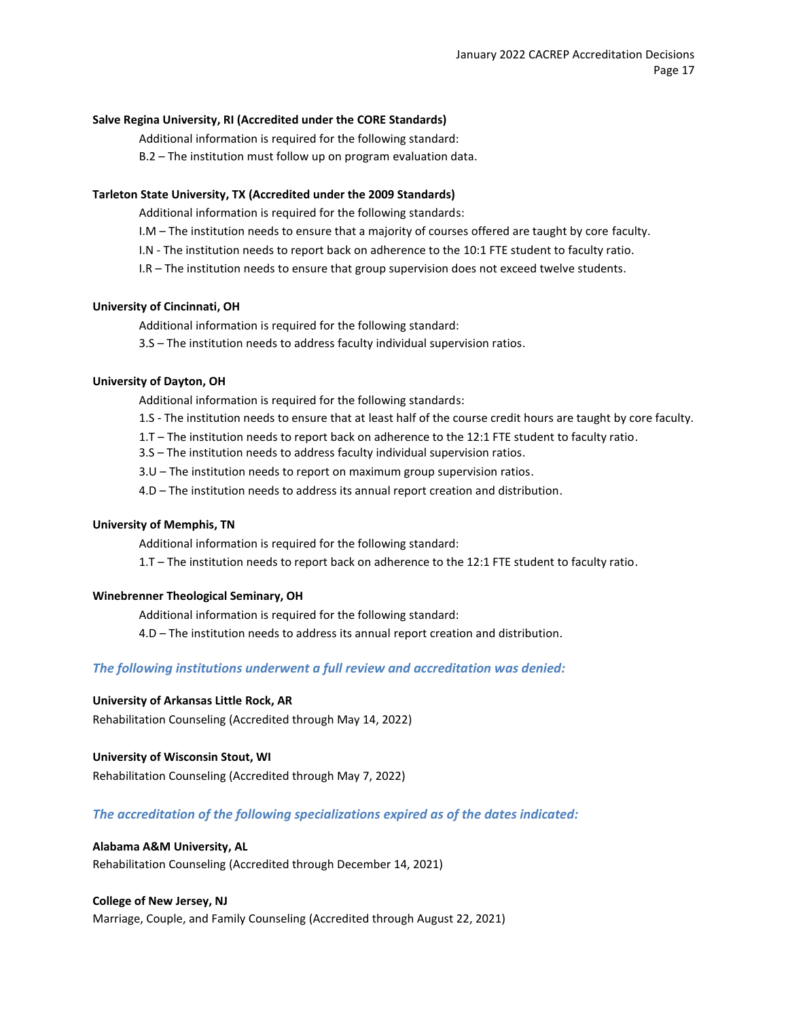#### **Salve Regina University, RI (Accredited under the CORE Standards)**

Additional information is required for the following standard:

B.2 – The institution must follow up on program evaluation data.

#### **Tarleton State University, TX (Accredited under the 2009 Standards)**

Additional information is required for the following standards:

- I.M The institution needs to ensure that a majority of courses offered are taught by core faculty.
- I.N The institution needs to report back on adherence to the 10:1 FTE student to faculty ratio.
- I.R The institution needs to ensure that group supervision does not exceed twelve students.

#### **University of Cincinnati, OH**

Additional information is required for the following standard:

3.S – The institution needs to address faculty individual supervision ratios.

#### **University of Dayton, OH**

Additional information is required for the following standards:

- 1.S The institution needs to ensure that at least half of the course credit hours are taught by core faculty.
- 1.T The institution needs to report back on adherence to the 12:1 FTE student to faculty ratio.
- 3.S The institution needs to address faculty individual supervision ratios.
- 3.U The institution needs to report on maximum group supervision ratios.
- 4.D The institution needs to address its annual report creation and distribution.

#### **University of Memphis, TN**

Additional information is required for the following standard:

1.T – The institution needs to report back on adherence to the 12:1 FTE student to faculty ratio.

#### **Winebrenner Theological Seminary, OH**

Additional information is required for the following standard:

4.D – The institution needs to address its annual report creation and distribution.

#### *The following institutions underwent a full review and accreditation was denied:*

#### **University of Arkansas Little Rock, AR**

Rehabilitation Counseling (Accredited through May 14, 2022)

#### **University of Wisconsin Stout, WI**

Rehabilitation Counseling (Accredited through May 7, 2022)

#### *The accreditation of the following specializations expired as of the dates indicated:*

#### **Alabama A&M University, AL**

Rehabilitation Counseling (Accredited through December 14, 2021)

#### **College of New Jersey, NJ**

Marriage, Couple, and Family Counseling (Accredited through August 22, 2021)